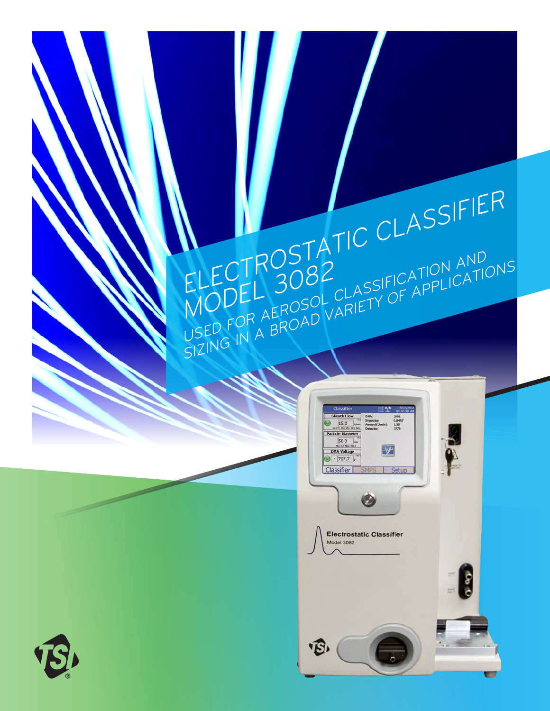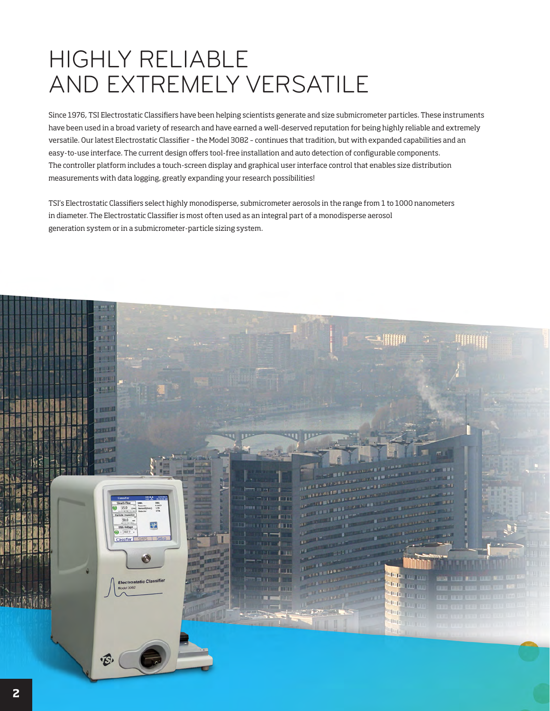## HIGHLY RELIABLE AND EXTREMELY VERSATILE

Since 1976, TSI Electrostatic Classifiers have been helping scientists generate and size submicrometer particles. These instruments have been used in a broad variety of research and have earned a well-deserved reputation for being highly reliable and extremely versatile. Our latest Electrostatic Classifier – the Model 3082 – continues that tradition, but with expanded capabilities and an easy-to-use interface. The current design offers tool-free installation and auto detection of configurable components. The controller platform includes a touch-screen display and graphical user interface control that enables size distribution measurements with data logging, greatly expanding your research possibilities!

TSI's Electrostatic Classifiers select highly monodisperse, submicrometer aerosols in the range from 1 to 1000 nanometers in diameter. The Electrostatic Classifier is most often used as an integral part of a monodisperse aerosol generation system or in a submicrometer-particle sizing system.

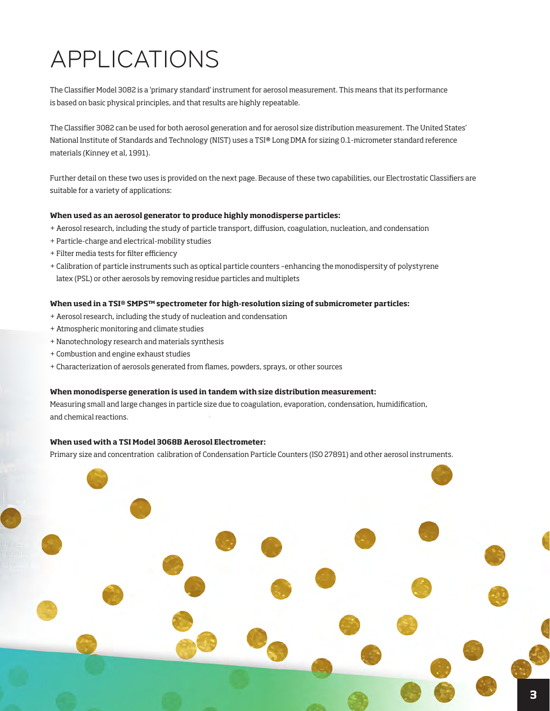## APPLICATIONS

The Classifier Model 3082 is a 'primary standard' instrument for aerosol measurement. This means that its performance is based on basic physical principles, and that results are highly repeatable.

The Classifier 3082 can be used for both aerosol generation and for aerosol size distribution measurement. The United States' National Institute of Standards and Technology (NIST) uses a TSI® Long DMA for sizing 0.1-micrometer standard reference materials (Kinney et al, 1991).

Further detail on these two uses is provided on the next page. Because of these two capabilities, our Electrostatic Classifiers are suitable for a variety of applications:

#### **When used as an aerosol generator to produce highly monodisperse particles:**

- + Aerosol research, including the study of particle transport, diffusion, coagulation, nucleation, and condensation
- + Particle-charge and electrical-mobility studies
- + Filter media tests for filter efficiency
- + Calibration of particle instruments such as optical particle counters –enhancing the monodispersity of polystyrene latex (PSL) or other aerosols by removing residue particles and multiplets

### **When used in a TSI® SMPS™ spectrometer for high-resolution sizing of submicrometer particles:**

- + Aerosol research, including the study of nucleation and condensation
- + Atmospheric monitoring and climate studies
- + Nanotechnology research and materials synthesis
- + Combustion and engine exhaust studies
- + Characterization of aerosols generated from flames, powders, sprays, or other sources

#### **When monodisperse generation is used in tandem with size distribution measurement:**

Measuring small and large changes in particle size due to coagulation, evaporation, condensation, humidification, and chemical reactions.

### **When used with a TSI Model 3068B Aerosol Electrometer:**

Primary size and concentration calibration of Condensation Particle Counters (ISO 27891) and other aerosol instruments.

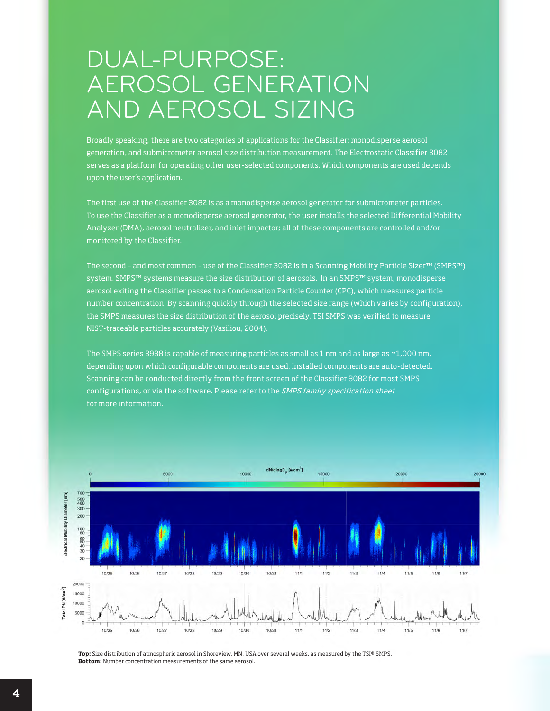### DUAL-PURPOSE: AEROSOL GENERATION AND AEROSOL SIZING

Broadly speaking, there are two categories of applications for the Classifier: monodisperse aerosol generation, and submicrometer aerosol size distribution measurement. The Electrostatic Classifier 3082 serves as a platform for operating other user-selected components. Which components are used depends upon the user's application.

The first use of the Classifier 3082 is as a monodisperse aerosol generator for submicrometer particles. To use the Classifier as a monodisperse aerosol generator, the user installs the selected Differential Mobility Analyzer (DMA), aerosol neutralizer, and inlet impactor; all of these components are controlled and/or monitored by the Classifier.

The second – and most common – use of the Classifier 3082 is in a Scanning Mobility Particle Sizer™ (SMPS™) system. SMPS™ systems measure the size distribution of aerosols. In an SMPS™ system, monodisperse aerosol exiting the Classifier passes to a Condensation Particle Counter (CPC), which measures particle number concentration. By scanning quickly through the selected size range (which varies by configuration), the SMPS measures the size distribution of the aerosol precisely. TSI SMPS was verified to measure NIST-traceable particles accurately (Vasiliou, 2004).

The SMPS series 3938 is capable of measuring particles as small as 1 nm and as large as ~1,000 nm, depending upon which configurable components are used. Installed components are auto-detected. Scanning can be conducted directly from the front screen of the Classifier 3082 for most SMPS configurations, or via the software. Please refer to the [SMPS family specification sheet](https://tsi.com/getmedia/6417ff18-99f7-4e15-8eed-971c92f1052c/SMPS-3938_US_5001531_RevE_Web?ext=.pdf) for more information.



**Top:** Size distribution of atmospheric aerosol in Shoreview, MN, USA over several weeks, as measured by the TSI® SMPS. **Bottom:** Number concentration measurements of the same aerosol.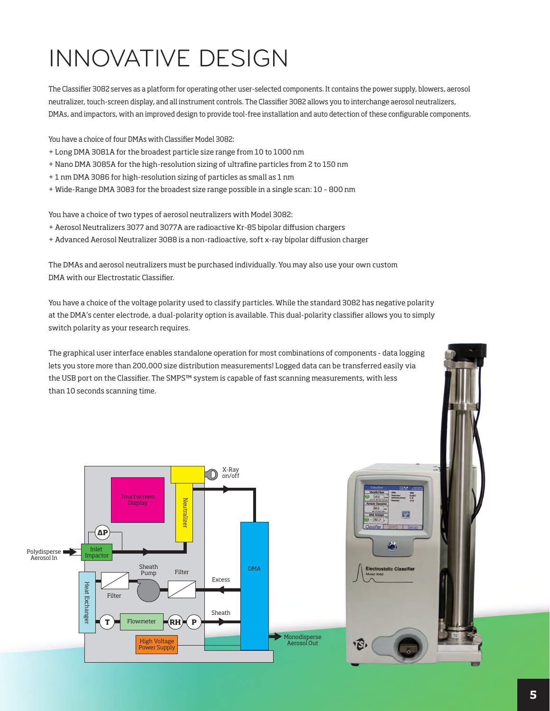# INNOVATIVE DESIGN

The Classifier 3082 serves as a platform for operating other user-selected components. It contains the power supply, blowers, aerosol neutralizer, touch-screen display, and all instrument controls. The Classifier 3082 allows you to interchange aerosol neutralizers, DMAs, and impactors, with an improved design to provide tool-free installation and auto detection of these configurable components.

You have a choice of four DMAs with Classifier Model 3082:

- + Long DMA 3081A for the broadest particle size range from 10 to 1000 nm
- + Nano DMA 3085A for the high-resolution sizing of ultrafine particles from 2 to 150 nm
- + 1 nm DMA 3086 for high-resolution sizing of particles as small as 1 nm
- + Wide-Range DMA 3083 for the broadest size range possible in a single scan: 10 800 nm

You have a choice of two types of aerosol neutralizers with Model 3082:

- + Aerosol Neutralizers 3077 and 3077A are radioactive Kr-85 bipolar diffusion chargers
- + Advanced Aerosol Neutralizer 3088 is a non-radioactive, soft x-ray bipolar diffusion charger

The DMAs and aerosol neutralizers must be purchased individually. You may also use your own custom DMA with our Electrostatic Classifier.

You have a choice of the voltage polarity used to classify particles. While the standard 3082 has negative polarity at the DMA's center electrode, a dual-polarity option is available. This dual-polarity classifier allows you to simply switch polarity as your research requires.

The graphical user interface enables standalone operation for most combinations of components - data logging lets you store more than 200,000 size distribution measurements! Logged data can be transferred easily via the USB port on the Classifier. The SMPS™ system is capable of fast scanning measurements, with less than 10 seconds scanning time.





G

ic Clas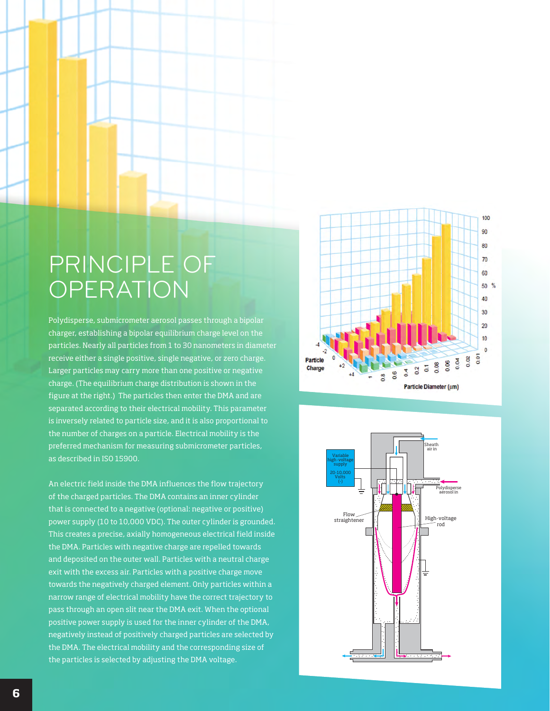### PRINCIPLE OF **OPERATION**

Polydisperse, submicrometer aerosol passes through a bipolar charger, establishing a bipolar equilibrium charge level on the particles. Nearly all particles from 1 to 30 nanometers in diameter receive either a single positive, single negative, or zero charge. Larger particles may carry more than one positive or negative charge. (The equilibrium charge distribution is shown in the figure at the right.) The particles then enter the DMA and are separated according to their electrical mobility. This parameter is inversely related to particle size, and it is also proportional to the number of charges on a particle. Electrical mobility is the preferred mechanism for measuring submicrometer particles, as described in ISO 15900.

An electric field inside the DMA influences the flow trajectory of the charged particles. The DMA contains an inner cylinder that is connected to a negative (optional: negative or positive) power supply (10 to 10,000 VDC). The outer cylinder is grounded. This creates a precise, axially homogeneous electrical field inside the DMA. Particles with negative charge are repelled towards and deposited on the outer wall. Particles with a neutral charge exit with the excess air. Particles with a positive charge move towards the negatively charged element. Only particles within a narrow range of electrical mobility have the correct trajectory to pass through an open slit near the DMA exit. When the optional positive power supply is used for the inner cylinder of the DMA, negatively instead of positively charged particles are selected by the DMA. The electrical mobility and the corresponding size of the particles is selected by adjusting the DMA voltage.



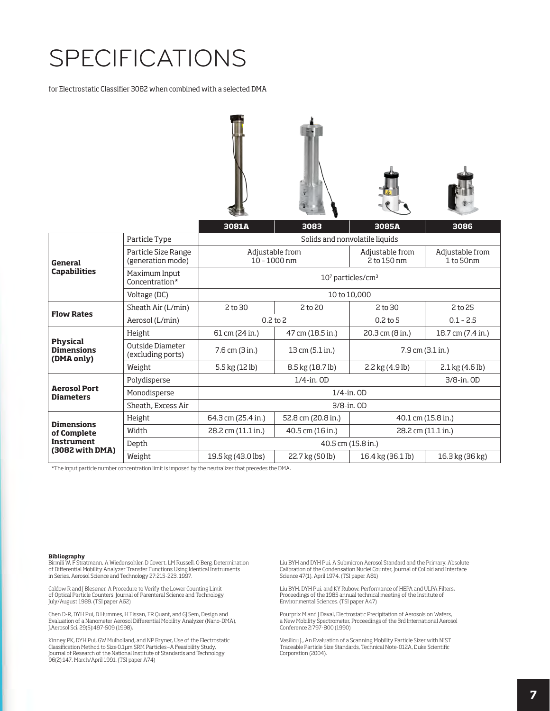## SPECIFICATIONS

for Electrostatic Classifier 3082 when combined with a selected DMA



|                                                                          |                                          | 3081A                             | 3083               | 3085A                          | 3086                              |  |
|--------------------------------------------------------------------------|------------------------------------------|-----------------------------------|--------------------|--------------------------------|-----------------------------------|--|
| General<br><b>Capabilities</b>                                           | Particle Type                            | Solids and nonvolatile liquids    |                    |                                |                                   |  |
|                                                                          | Particle Size Range<br>(generation mode) | Adjustable from<br>$10 - 1000$ nm |                    | Adjustable from<br>2 to 150 nm | Adjustable from<br>1 to 50nm      |  |
|                                                                          | Maximum Input<br>Concentration*          | $107$ particles/cm <sup>3</sup>   |                    |                                |                                   |  |
|                                                                          | Voltage (DC)                             | 10 to 10,000                      |                    |                                |                                   |  |
| <b>Flow Rates</b>                                                        | Sheath Air (L/min)                       | 2 to 30                           | 2 to 20            | 2 to 30                        | 2 to 25                           |  |
|                                                                          | Aerosol (L/min)                          | $0.2$ to $2$                      |                    | $0.2$ to 5                     | $0.1 - 2.5$                       |  |
| <b>Physical</b><br><b>Dimensions</b><br>(DMA only)                       | Height                                   | 61 cm (24 in.)                    | 47 cm (18.5 in.)   | $20.3$ cm $(8 in.)$            | 18.7 cm (7.4 in.)                 |  |
|                                                                          | Outside Diameter<br>(excluding ports)    | 7.6 cm (3 in.)                    | 13 cm (5.1 in.)    | $7.9$ cm $(3.1$ in.)           |                                   |  |
|                                                                          | Weight                                   | 5.5 kg (12 lb)                    | 8.5 kg (18.7 lb)   | 2.2 kg (4.9 lb)                | $2.1 \text{ kg} (4.6 \text{ lb})$ |  |
| <b>Aerosol Port</b><br><b>Diameters</b>                                  | Polydisperse                             | $1/4$ -in. $OD$<br>$3/8$ -in, OD  |                    |                                |                                   |  |
|                                                                          | Monodisperse                             | $1/4$ -in. $OD$                   |                    |                                |                                   |  |
|                                                                          | Sheath, Excess Air                       | 3/8-in. OD                        |                    |                                |                                   |  |
| <b>Dimensions</b><br>of Complete<br><b>Instrument</b><br>(3082 with DMA) | Height                                   | 64.3 cm (25.4 in.)                | 52.8 cm (20.8 in.) | 40.1 cm (15.8 in.)             |                                   |  |
|                                                                          | Width                                    | 28.2 cm (11.1 in.)                | 40.5 cm (16 in.)   | 28.2 cm (11.1 in.)             |                                   |  |
|                                                                          | Depth                                    | 40.5 cm (15.8 in.)                |                    |                                |                                   |  |
|                                                                          | Weight                                   | 19.5 kg (43.0 lbs)                | 22.7 kg (50 lb)    | 16.4 kg (36.1 lb)              | 16.3 kg (36 kg)                   |  |

\*The input particle number concentration limit is imposed by the neutralizer that precedes the DMA.

#### **Bibliography**

Birmili W, F Stratmann, A Wiedensohler, D Covert, LM Russell, O Berg. Determination<br>of Differential Mobility Analyzer Transfer Functions Using Identical Instruments<br>in Series, Aerosol Science and Technology 27:215-223, 199

Caldow R and J Blesener, A Procedure to Verify the Lower Counting Limit of Optical Particle Counters, Journal of Parenteral Science and Technology, July/August 1989. (TSI paper A62)

Chen D-R, DYH Pui, D Hummes, H Fissan, FR Quant, and GJ Sem, Design and Evaluation of a Nanometer Aerosol Differential Mobility Analyzer (Nano-DMA), J.Aerosol Sci. 29(5):497-509 (1998).

Kinney PK, DYH Pui, GW Mulholland, and NP Bryner, Use of the Electrostatic Classification Method to Size 0.1μm SRM Particles—A Feasibility Study, Journal of Research of the National Institute of Standards and Technology 96(2):147, March/April 1991. (TSI paper A74)

Liu BYH and DYH Pui, A Submicron Aerosol Standard and the Primary, Absolute Calibration of the Condensation Nuclei Counter, Journal of Colloid and Interface Science 47(1), April 1974. (TSI paper A81)

Liu BYH, DYH Pui, and KY Rubow, Performance of HEPA and ULPA Filters, Proceedings of the 1985 annual technical meeting of the Institute of Environmental Sciences. (TSI paper A47)

Pourprix M and J Daval, Electrostatic Precipitation of Aerosols on Wafers, a New Mobility Spectrometer, Proceedings of the 3rd International Aerosol Conference 2:797-800 (1990)

Vasiliou J., An Evaluation of a Scanning Mobility Particle Sizer with NIST Traceable Particle Size Standards, Technical Note-012A, Duke Scientific Corporation (2004).